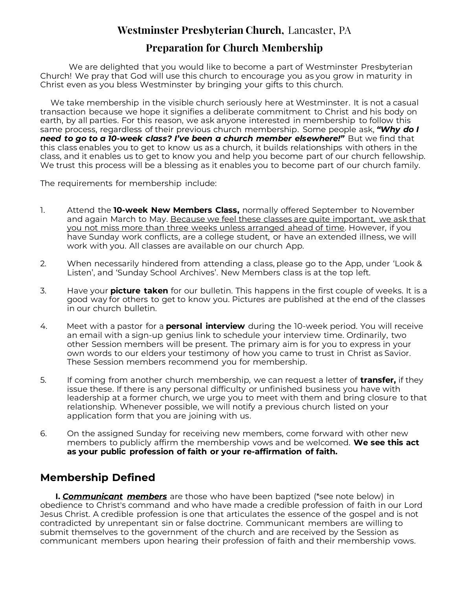## **Westminster Presbyterian Church,** Lancaster, PA

## **Preparation for Church Membership**

We are delighted that you would like to become a part of Westminster Presbyterian Church! We pray that God will use this church to encourage you as you grow in maturity in Christ even as you bless Westminster by bringing your gifts to this church.

We take membership in the visible church seriously here at Westminster. It is not a casual transaction because we hope it signifies a deliberate commitment to Christ and his body on earth, by all parties. For this reason, we ask anyone interested in membership to follow this same process, regardless of their previous church membership. Some people ask, *"Why do I need to go to a 10-week class? I've been a church member elsewhere!"* But we find that this class enables you to get to know us as a church, it builds relationships with others in the class, and it enables us to get to know you and help you become part of our church fellowship. We trust this process will be a blessing as it enables you to become part of our church family.

The requirements for membership include:

- 1. Attend the **10-week New Members Class,** normally offered September to November and again March to May. Because we feel these classes are quite important, we ask that you not miss more than three weeks unless arranged ahead of time. However, if you have Sunday work conflicts, are a college student, or have an extended illness, we will work with you. All classes are available on our church App.
- 2. When necessarily hindered from attending a class, please go to the App, under 'Look & Listen', and 'Sunday School Archives'. New Members class is at the top left.
- 3. Have your **picture taken** for our bulletin. This happens in the first couple of weeks. It is a good way for others to get to know you. Pictures are published at the end of the classes in our church bulletin.
- 4. Meet with a pastor for a **personal interview** during the 10-week period. You will receive an email with a sign-up genius link to schedule your interview time. Ordinarily, two other Session members will be present. The primary aim is for you to express in your own words to our elders your testimony of how you came to trust in Christ as Savior. These Session members recommend you for membership.
- 5. If coming from another church membership, we can request a letter of **transfer,** if they issue these. If there is any personal difficulty or unfinished business you have with leadership at a former church, we urge you to meet with them and bring closure to that relationship. Whenever possible, we will notify a previous church listed on your application form that you are joining with us.
- 6. On the assigned Sunday for receiving new members, come forward with other new members to publicly affirm the membership vows and be welcomed. **We see this act as your public profession of faith or your re-affirmation of faith.**

## **Membership Defined**

 **I.** *Communicant members* are those who have been baptized (\*see note below) in obedience to Christ's command and who have made a credible profession of faith in our Lord Jesus Christ. A credible profession is one that articulates the essence of the gospel and is not contradicted by unrepentant sin or false doctrine. Communicant members are willing to submit themselves to the government of the church and are received by the Session as communicant members upon hearing their profession of faith and their membership vows.